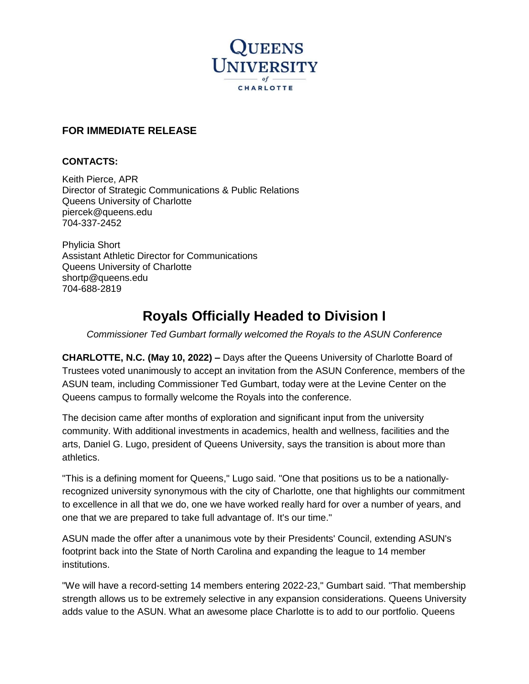

## **FOR IMMEDIATE RELEASE**

#### **CONTACTS:**

Keith Pierce, APR Director of Strategic Communications & Public Relations Queens University of Charlotte [piercek@queens.edu](mailto:piercek@queens.edu) 704-337-2452

Phylicia Short Assistant Athletic Director for Communications Queens University of Charlotte shortp@queens.edu 704-688-2819

# **Royals Officially Headed to Division I**

*Commissioner Ted Gumbart formally welcomed the Royals to the ASUN Conference* 

**CHARLOTTE, N.C. (May 10, 2022) –** Days after the Queens University of Charlotte Board of Trustees voted unanimously to accept an invitation from the ASUN Conference, members of the ASUN team, including Commissioner Ted Gumbart, today were at the Levine Center on the Queens campus to formally welcome the Royals into the conference.

The decision came after months of exploration and significant input from the university community. With additional investments in academics, health and wellness, facilities and the arts, Daniel G. Lugo, president of Queens University, says the transition is about more than athletics.

"This is a defining moment for Queens," Lugo said. "One that positions us to be a nationallyrecognized university synonymous with the city of Charlotte, one that highlights our commitment to excellence in all that we do, one we have worked really hard for over a number of years, and one that we are prepared to take full advantage of. It's our time."

ASUN made the offer after a unanimous vote by their Presidents' Council, extending ASUN's footprint back into the State of North Carolina and expanding the league to 14 member institutions.

"We will have a record-setting 14 members entering 2022-23," Gumbart said. "That membership strength allows us to be extremely selective in any expansion considerations. Queens University adds value to the ASUN. What an awesome place Charlotte is to add to our portfolio. Queens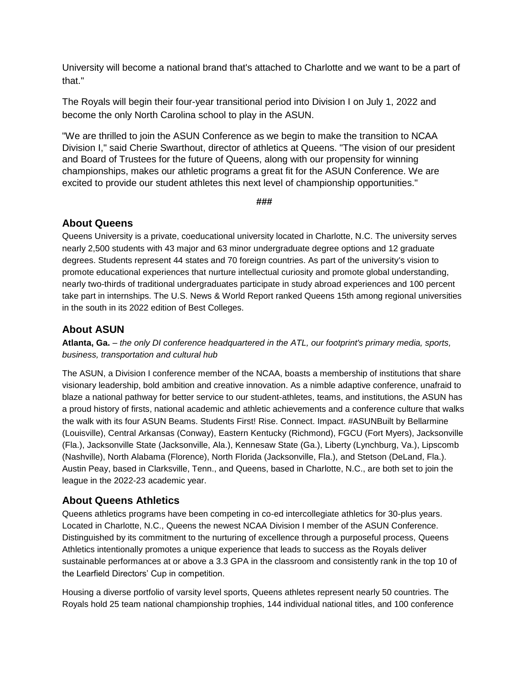University will become a national brand that's attached to Charlotte and we want to be a part of that."

The Royals will begin their four-year transitional period into Division I on July 1, 2022 and become the only North Carolina school to play in the ASUN.

"We are thrilled to join the ASUN Conference as we begin to make the transition to NCAA Division I," said Cherie Swarthout, director of athletics at Queens. "The vision of our president and Board of Trustees for the future of Queens, along with our propensity for winning championships, makes our athletic programs a great fit for the ASUN Conference. We are excited to provide our student athletes this next level of championship opportunities."

**###**

#### **About Queens**

Queens University is a private, coeducational university located in Charlotte, N.C. The university serves nearly 2,500 students with 43 major and 63 minor undergraduate degree options and 12 graduate degrees. Students represent 44 states and 70 foreign countries. As part of the university's vision to promote educational experiences that nurture intellectual curiosity and promote global understanding, nearly two-thirds of traditional undergraduates participate in study abroad experiences and 100 percent take part in internships. The U.S. News & World Report ranked Queens 15th among regional universities in the south in its 2022 edition of Best Colleges.

### **About ASUN**

**Atlanta, Ga.** – *the only DI conference headquartered in the ATL, our footprint's primary media, sports, business, transportation and cultural hub*

The ASUN, a Division I conference member of the NCAA, boasts a membership of institutions that share visionary leadership, bold ambition and creative innovation. As a nimble adaptive conference, unafraid to blaze a national pathway for better service to our student-athletes, teams, and institutions, the ASUN has a proud history of firsts, national academic and athletic achievements and a conference culture that walks the walk with its four ASUN Beams. Students First! Rise. Connect. Impact. #ASUNBuilt by Bellarmine (Louisville), Central Arkansas (Conway), Eastern Kentucky (Richmond), FGCU (Fort Myers), Jacksonville (Fla.), Jacksonville State (Jacksonville, Ala.), Kennesaw State (Ga.), Liberty (Lynchburg, Va.), Lipscomb (Nashville), North Alabama (Florence), North Florida (Jacksonville, Fla.), and Stetson (DeLand, Fla.). Austin Peay, based in Clarksville, Tenn., and Queens, based in Charlotte, N.C., are both set to join the league in the 2022-23 academic year.

#### **About Queens Athletics**

Queens athletics programs have been competing in co-ed intercollegiate athletics for 30-plus years. Located in Charlotte, N.C., Queens the newest NCAA Division I member of the ASUN Conference. Distinguished by its commitment to the nurturing of excellence through a purposeful process, Queens Athletics intentionally promotes a unique experience that leads to success as the Royals deliver sustainable performances at or above a 3.3 GPA in the classroom and consistently rank in the top 10 of the Learfield Directors' Cup in competition.

Housing a diverse portfolio of varsity level sports, Queens athletes represent nearly 50 countries. The Royals hold 25 team national championship trophies, 144 individual national titles, and 100 conference